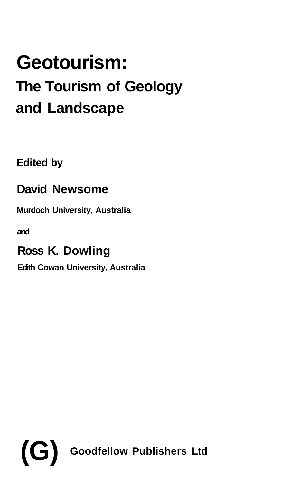## **Geotourism: The Tourism of Geology and Landscape**

**Edited by**

## **David Newsome**

**Murdoch University, Australia**

**and**

## **Ross K. Dowling**

**Edith Cowan University, Australia**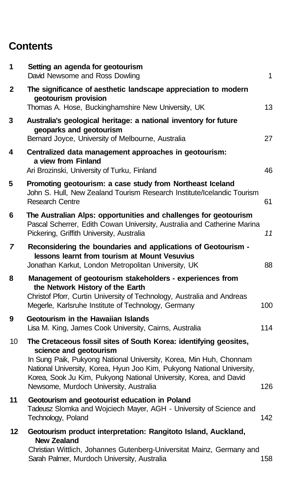## **Contents**

| 1  | Setting an agenda for geotourism<br>David Newsome and Ross Dowling                                                                                                                                                                                                                                                                                         | 1   |
|----|------------------------------------------------------------------------------------------------------------------------------------------------------------------------------------------------------------------------------------------------------------------------------------------------------------------------------------------------------------|-----|
| 2  | The significance of aesthetic landscape appreciation to modern<br>geotourism provision<br>Thomas A. Hose, Buckinghamshire New University, UK                                                                                                                                                                                                               | 13  |
| 3  | Australia's geological heritage: a national inventory for future<br>geoparks and geotourism<br>Bernard Joyce, University of Melbourne, Australia                                                                                                                                                                                                           | 27  |
| 4  | Centralized data management approaches in geotourism:<br>a view from Finland<br>Ari Brozinski, University of Turku, Finland                                                                                                                                                                                                                                | 46  |
| 5  | Promoting geotourism: a case study from Northeast Iceland<br>John S. Hull, New Zealand Tourism Research Institute/Icelandic Tourism<br><b>Research Centre</b>                                                                                                                                                                                              | 61  |
| 6  | The Australian Alps: opportunities and challenges for geotourism<br>Pascal Scherrer, Edith Cowan University, Australia and Catherine Marina<br>Pickering, Griffith University, Australia                                                                                                                                                                   | 11  |
| 7  | Reconsidering the boundaries and applications of Geotourism -<br>lessons learnt from tourism at Mount Vesuvius<br>Jonathan Karkut, London Metropolitan University, UK                                                                                                                                                                                      | 88  |
| 8  | Management of geotourism stakeholders - experiences from<br>the Network History of the Earth<br>Christof Pforr, Curtin University of Technology, Australia and Andreas<br>Megerle, Karlsruhe Institute of Technology, Germany                                                                                                                              | 100 |
| 9  | Geotourism in the Hawaiian Islands<br>Lisa M. King, James Cook University, Cairns, Australia                                                                                                                                                                                                                                                               | 114 |
| 10 | The Cretaceous fossil sites of South Korea: identifying geosites,<br>science and geotourism<br>In Sung Paik, Pukyong National University, Korea, Min Huh, Chonnam<br>National University, Korea, Hyun Joo Kim, Pukyong National University,<br>Korea, Sook Ju Kim, Pukyong National University, Korea, and David<br>Newsome, Murdoch University, Australia | 126 |
| 11 | Geotourism and geotourist education in Poland<br>Tadeusz Slomka and Wojciech Mayer, AGH - University of Science and<br>Technology, Poland                                                                                                                                                                                                                  | 142 |
| 12 | Geotourism product interpretation: Rangitoto Island, Auckland,<br><b>New Zealand</b><br>Christian Wittlich, Johannes Gutenberg-Universitat Mainz, Germany and<br>Sarah Palmer, Murdoch University, Australia                                                                                                                                               | 158 |